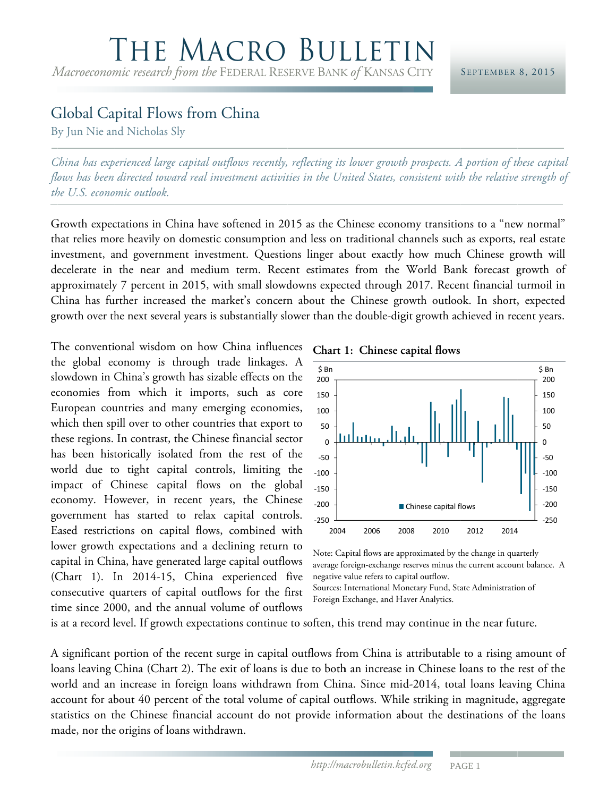## THE MACRO BULLETIN

*Macroeconomic research from the* FEDERAL RESERVE BANK of KANSAS CITY

## Global Capital Flows from China

By Jun Nie and Nicholas Sly

*C China has exp erienced large e capital outf flows recently, reflecting its s lower growth th prospects. A A portion of th hese capital*  flows has been directed toward real investment activities in the United States, consistent with the relative strength of *th he U.S. econo mic outlook.* 

Growth expectations in China have softened in 2015 as the Chinese economy transitions to a "new normal" that relies more heavily on domestic consumption and less on traditional channels such as exports, real estate investment, and government investment. Questions linger about exactly how much Chinese growth will decelerate in the near and medium term. Recent estimates from the World Bank forecast growth of approximately 7 percent in 2015, with small slowdowns expected through 2017. Recent financial turmoil in China has further increased the market's concern about the Chinese growth outlook. In short, expected growth over the next several years is substantially slower than the double-digit growth achieved in recent years.

The conventional wisdom on how China influences the global economy is through trade linkages. A slowdown in China's growth has sizable effects on the economies from which it imports, such as core European countries and many emerging economies, which then spill over to other countries that export to these regions. In contrast, the Chinese financial sector has been historically isolated from the rest of the world due to tight capital controls, limiting the impact of Chinese capital flows on the global economy. However, in recent years, the Chinese government has started to relax capital controls. Eased restrictions on capital flows, combined with lower growth expectations and a declining return to capital in China, have generated large capital outflows (Chart 1). In 2014-15, China experienced five consecutive quarters of capital outflows for the first time since 2000, and the annual volume of outflows

**Chart 1 1: Chinese c capital flows**



Note: Capital flows are approximated by the change in quarterly average foreign-exchange reserves minus the current account balance. A negative value refers to capital outflow. Sources: International Monetary Fund, State Administration of

Foreign E Exchange, and H Haver Analytics.

is at a record level. If growth expectations continue to soften, this trend may continue in the near future.

A significant portion of the recent surge in capital outflows from China is attributable to a rising amount of loans leaving China (Chart 2). The exit of loans is due to both an increase in Chinese loans to the rest of the world and an increase in foreign loans withdrawn from China. Since mid-2014, total loans leaving China account for about 40 percent of the total volume of capital outflows. While striking in magnitude, aggregate statistics on the Chinese financial account do not provide information about the destinations of the loans made, nor the origins of loans withdrawn.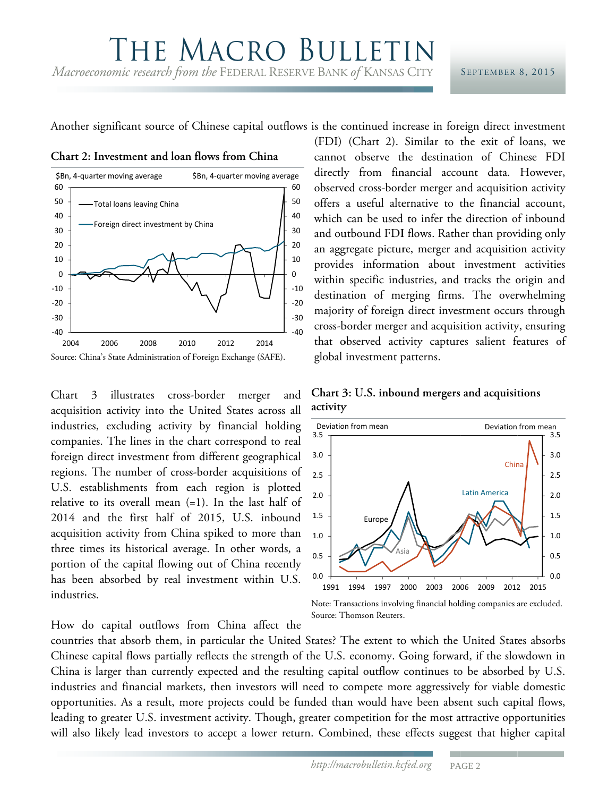## THE MACRO BULLETI Macroeconomic research from the FEDERAL RESERVE BANK of KANSAS CITY

## SEPTEMBER 8, 2015

Another significant source of Chinese capital outflows is the continued increase in foreign direct investment

Chart 2: Investment and loan flows from China



Chart 3 illustrates cross-border merger and acquisition activity into the United States across all industries, excluding activity by financial holding companies. The lines in the chart correspond to real foreign direct investment from different geographical regions. The number of cross-border acquisitions of U.S. establishments from each region is plotted relative to its overall mean  $(=1)$ . In the last half of 2014 and the first half of 2015, U.S. inbound acquisition activity from China spiked to more than three times its historical average. In other words, a portion of the capital flowing out of China recently has been absorbed by real investment within U.S. industries.

How do capital outflows from China affect the

(FDI) (Chart 2). Similar to the exit of loans, we cannot observe the destination of Chinese FDI directly from financial account data. However, observed cross-border merger and acquisition activity offers a useful alternative to the financial account, which can be used to infer the direction of inbound and outbound FDI flows. Rather than providing only an aggregate picture, merger and acquisition activity provides information about investment activities within specific industries, and tracks the origin and destination of merging firms. The overwhelming majority of foreign direct investment occurs through cross-border merger and acquisition activity, ensuring that observed activity captures salient features of global investment patterns.





Note: Transactions involving financial holding companies are excluded. Source: Thomson Reuters.

countries that absorb them, in particular the United States? The extent to which the United States absorbs Chinese capital flows partially reflects the strength of the U.S. economy. Going forward, if the slowdown in China is larger than currently expected and the resulting capital outflow continues to be absorbed by U.S. industries and financial markets, then investors will need to compete more aggressively for viable domestic opportunities. As a result, more projects could be funded than would have been absent such capital flows, leading to greater U.S. investment activity. Though, greater competition for the most attractive opportunities will also likely lead investors to accept a lower return. Combined, these effects suggest that higher capital